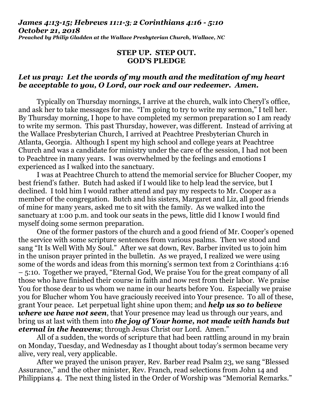## *James 4:13-15; Hebrews 11:1-3; 2 Corinthians 4:16 - 5:10 October 21, 2018 Preached by Philip Gladden at the Wallace Presbyterian Church, Wallace, NC*

## **STEP UP. STEP OUT. GOD'S PLEDGE**

## *Let us pray: Let the words of my mouth and the meditation of my heart be acceptable to you, O Lord, our rock and our redeemer. Amen.*

Typically on Thursday mornings, I arrive at the church, walk into Cheryl's office, and ask her to take messages for me. "I'm going to try to write my sermon," I tell her. By Thursday morning, I hope to have completed my sermon preparation so I am ready to write my sermon. This past Thursday, however, was different. Instead of arriving at the Wallace Presbyterian Church, I arrived at Peachtree Presbyterian Church in Atlanta, Georgia. Although I spent my high school and college years at Peachtree Church and was a candidate for ministry under the care of the session, I had not been to Peachtree in many years. I was overwhelmed by the feelings and emotions I experienced as I walked into the sanctuary.

I was at Peachtree Church to attend the memorial service for Blucher Cooper, my best friend's father. Butch had asked if I would like to help lead the service, but I declined. I told him I would rather attend and pay my respects to Mr. Cooper as a member of the congregation. Butch and his sisters, Margaret and Liz, all good friends of mine for many years, asked me to sit with the family. As we walked into the sanctuary at 1:00 p.m. and took our seats in the pews, little did I know I would find myself doing some sermon preparation.

One of the former pastors of the church and a good friend of Mr. Cooper's opened the service with some scripture sentences from various psalms. Then we stood and sang "It Is Well With My Soul." After we sat down, Rev. Barber invited us to join him in the unison prayer printed in the bulletin. As we prayed, I realized we were using some of the words and ideas from this morning's sermon text from 2 Corinthians 4:16 – 5:10. Together we prayed, "Eternal God, We praise You for the great company of all those who have finished their course in faith and now rest from their labor. We praise You for those dear to us whom we name in our hearts before You. Especially we praise you for Blucher whom You have graciously received into Your presence. To all of these, grant Your peace. Let perpetual light shine upon them; and *help us so to believe where we have not seen*, that Your presence may lead us through our years, and bring us at last with them into *the joy of Your home, not made with hands but eternal in the heavens*; through Jesus Christ our Lord. Amen."

All of a sudden, the words of scripture that had been rattling around in my brain on Monday, Tuesday, and Wednesday as I thought about today's sermon became very alive, very real, very applicable.

After we prayed the unison prayer, Rev. Barber read Psalm 23, we sang "Blessed Assurance," and the other minister, Rev. Franch, read selections from John 14 and Philippians 4. The next thing listed in the Order of Worship was "Memorial Remarks."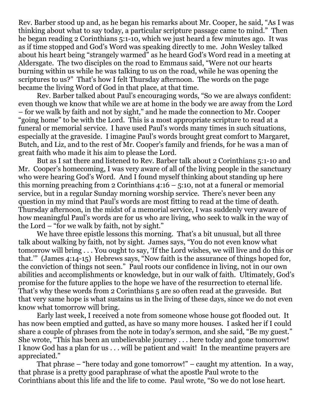Rev. Barber stood up and, as he began his remarks about Mr. Cooper, he said, "As I was thinking about what to say today, a particular scripture passage came to mind." Then he began reading 2 Corinthians 5:1-10, which we just heard a few minutes ago. It was as if time stopped and God's Word was speaking directly to me. John Wesley talked about his heart being "strangely warmed" as he heard God's Word read in a meeting at Aldersgate. The two disciples on the road to Emmaus said, "Were not our hearts burning within us while he was talking to us on the road, while he was opening the scriptures to us?" That's how I felt Thursday afternoon. The words on the page became the living Word of God in that place, at that time.

Rev. Barber talked about Paul's encouraging words, "So we are always confident: even though we know that while we are at home in the body we are away from the Lord – for we walk by faith and not by sight," and he made the connection to Mr. Cooper "going home" to be with the Lord. This is a most appropriate scripture to read at a funeral or memorial service. I have used Paul's words many times in such situations, especially at the graveside. I imagine Paul's words brought great comfort to Margaret, Butch, and Liz, and to the rest of Mr. Cooper's family and friends, for he was a man of great faith who made it his aim to please the Lord.

But as I sat there and listened to Rev. Barber talk about 2 Corinthians 5:1-10 and Mr. Cooper's homecoming, I was very aware of all of the living people in the sanctuary who were hearing God's Word. And I found myself thinking about standing up here this morning preaching from 2 Corinthians  $4:16 - 5:10$ , not at a funeral or memorial service, but in a regular Sunday morning worship service. There's never been any question in my mind that Paul's words are most fitting to read at the time of death. Thursday afternoon, in the midst of a memorial service, I was suddenly very aware of how meaningful Paul's words are for us who are living, who seek to walk in the way of the Lord – "for we walk by faith, not by sight."

We have three epistle lessons this morning. That's a bit unusual, but all three talk about walking by faith, not by sight. James says, "You do not even know what tomorrow will bring . . . You ought to say, 'If the Lord wishes, we will live and do this or that.'" (James 4:14-15) Hebrews says, "Now faith is the assurance of things hoped for, the conviction of things not seen." Paul roots our confidence in living, not in our own abilities and accomplishments or knowledge, but in our walk of faith. Ultimately, God's promise for the future applies to the hope we have of the resurrection to eternal life. That's why these words from 2 Corinthians 5 are so often read at the graveside. But that very same hope is what sustains us in the living of these days, since we do not even know what tomorrow will bring.

Early last week, I received a note from someone whose house got flooded out. It has now been emptied and gutted, as have so many more houses. I asked her if I could share a couple of phrases from the note in today's sermon, and she said, "Be my guest." She wrote, "This has been an unbelievable journey . . . here today and gone tomorrow! I know God has a plan for us . . . will be patient and wait! In the meantime prayers are appreciated."

That phrase – "here today and gone tomorrow!" – caught my attention. In a way, that phrase is a pretty good paraphrase of what the apostle Paul wrote to the Corinthians about this life and the life to come. Paul wrote, "So we do not lose heart.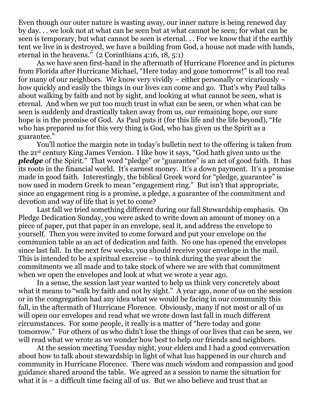Even though our outer nature is wasting away, our inner nature is being renewed day by day. . . we look not at what can be seen but at what cannot be seen; for what can be seen is temporary, but what cannot be seen is eternal. . . For we know that if the earthly tent we live in is destroyed, we have a building from God, a house not made with hands, eternal in the heavens." (2 Corinthians 4:16, 18, 5:1)

As we have seen first-hand in the aftermath of Hurricane Florence and in pictures from Florida after Hurricane Michael, "Here today and gone tomorrow!" is all too real for many of our neighbors. We know very vividly – either personally or vicariously – how quickly and easily the things in our lives can come and go. That's why Paul talks about walking by faith and not by sight, and looking at what cannot be seen, what is eternal. And when we put too much trust in what can be seen, or when what can be seen is suddenly and drastically taken away from us, our remaining hope, our sure hope is in the promise of God. As Paul puts it (for this life and the life beyond), "He who has prepared us for this very thing is God, who has given us the Spirit as a guarantee."

You'll notice the margin note in today's bulletin next to the offering is taken from the 21st century King James Version. I like how it says, "God hath given unto us the *pledge* of the Spirit." That word "pledge" or "guarantee" is an act of good faith. It has its roots in the financial world. It's earnest money. It's a down payment. It's a promise made in good faith. Interestingly, the biblical Greek word for "pledge, guarantee" is now used in modern Greek to mean "engagement ring." But isn't that appropriate, since an engagement ring is a promise, a pledge, a guarantee of the commitment and devotion and way of life that is yet to come?

Last fall we tried something different during our fall Stewardship emphasis. On Pledge Dedication Sunday, you were asked to write down an amount of money on a piece of paper, put that paper in an envelope, seal it, and address the envelope to yourself. Then you were invited to come forward and put your envelope on the communion table as an act of dedication and faith. No one has opened the envelopes since last fall. In the next few weeks, you should receive your envelope in the mail. This is intended to be a spiritual exercise – to think during the year about the commitments we all made and to take stock of where we are with that commitment when we open the envelopes and look at what we wrote a year ago.

In a sense, the session last year wanted to help us think very concretely about what it means to "walk by faith and not by sight." A year ago, none of us on the session or in the congregation had any idea what we would be facing in our community this fall, in the aftermath of Hurricane Florence. Obviously, many if not most or all of us will open our envelopes and read what we wrote down last fall in much different circumstances. For some people, it really is a matter of "here today and gone tomorrow." For others of us who didn't lose the things of our lives that can be seen, we will read what we wrote as we wonder how best to help our friends and neighbors.

At the session meeting Tuesday night, your elders and I had a good conversation about how to talk about stewardship in light of what has happened in our church and community in Hurricane Florence. There was much wisdom and compassion and good guidance shared around the table. We agreed as a session to name the situation for what it is – a difficult time facing all of us. But we also believe and trust that as